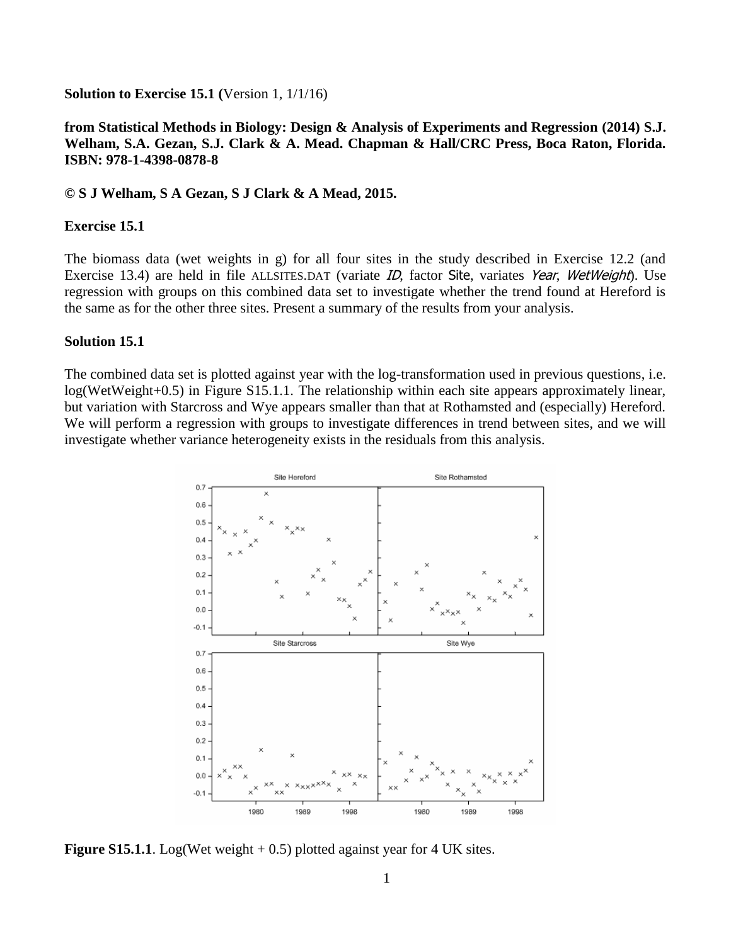## **Solution to Exercise 15.1 (**Version 1, 1/1/16)

## **from Statistical Methods in Biology: Design & Analysis of Experiments and Regression (2014) S.J. Welham, S.A. Gezan, S.J. Clark & A. Mead. Chapman & Hall/CRC Press, Boca Raton, Florida. ISBN: 978-1-4398-0878-8**

**© S J Welham, S A Gezan, S J Clark & A Mead, 2015.**

## **Exercise 15.1**

The biomass data (wet weights in g) for all four sites in the study described in Exercise 12.2 (and Exercise 13.4) are held in file ALLSITES.DAT (variate ID, factor Site, variates Year, WetWeight). Use regression with groups on this combined data set to investigate whether the trend found at Hereford is the same as for the other three sites. Present a summary of the results from your analysis.

## **Solution 15.1**

The combined data set is plotted against year with the log-transformation used in previous questions, i.e. log(WetWeight+0.5) in Figure S15.1.1. The relationship within each site appears approximately linear, but variation with Starcross and Wye appears smaller than that at Rothamsted and (especially) Hereford. We will perform a regression with groups to investigate differences in trend between sites, and we will investigate whether variance heterogeneity exists in the residuals from this analysis.



**Figure S15.1.1**. Log(Wet weight  $+ 0.5$ ) plotted against year for 4 UK sites.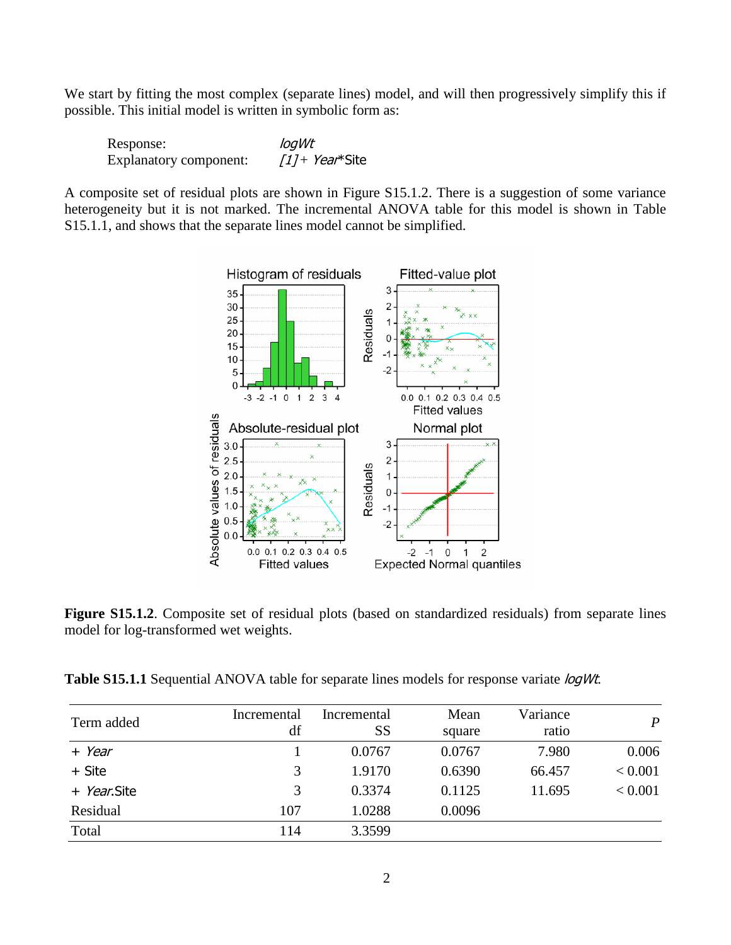We start by fitting the most complex (separate lines) model, and will then progressively simplify this if possible. This initial model is written in symbolic form as:

| Response:              | logWt             |  |  |
|------------------------|-------------------|--|--|
| Explanatory component: | $11 + Year*$ Site |  |  |

A composite set of residual plots are shown in Figure S15.1.2. There is a suggestion of some variance heterogeneity but it is not marked. The incremental ANOVA table for this model is shown in Table S15.1.1, and shows that the separate lines model cannot be simplified.



**Figure S15.1.2**. Composite set of residual plots (based on standardized residuals) from separate lines model for log-transformed wet weights.

Table S15.1.1 Sequential ANOVA table for separate lines models for response variate *logWt*.

| Term added  | Incremental<br>df | Incremental<br>SS | Mean<br>square | Variance<br>ratio | $\boldsymbol{P}$ |
|-------------|-------------------|-------------------|----------------|-------------------|------------------|
| + Year      |                   | 0.0767            | 0.0767         | 7.980             | 0.006            |
| + Site      | 3                 | 1.9170            | 0.6390         | 66.457            | < 0.001          |
| + Year.Site | 3                 | 0.3374            | 0.1125         | 11.695            | < 0.001          |
| Residual    | 107               | 1.0288            | 0.0096         |                   |                  |
| Total       | 114               | 3.3599            |                |                   |                  |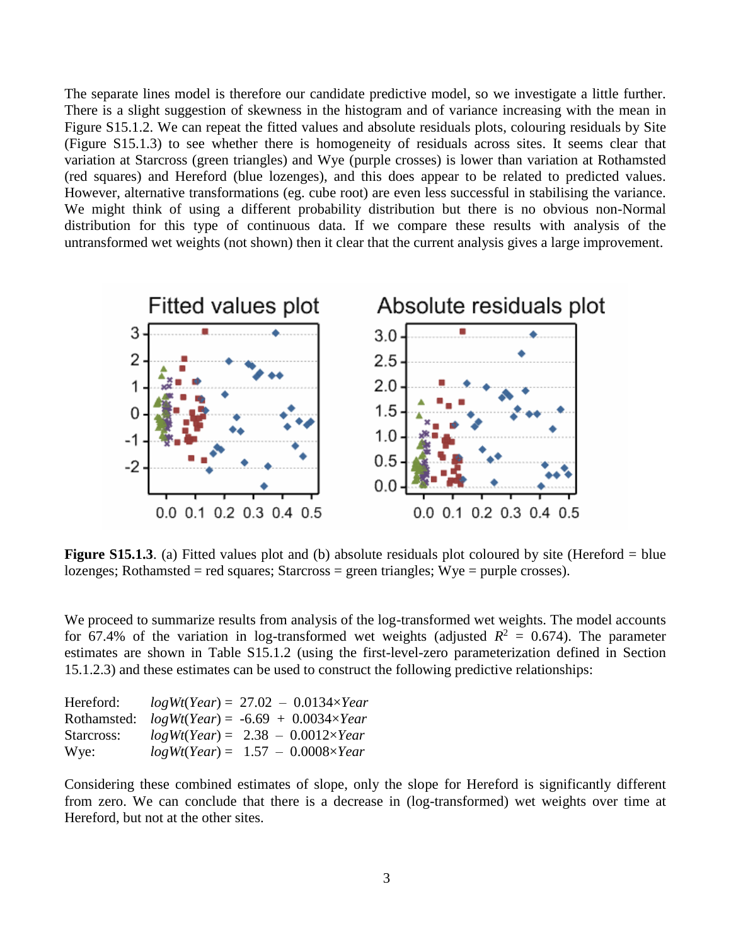The separate lines model is therefore our candidate predictive model, so we investigate a little further. There is a slight suggestion of skewness in the histogram and of variance increasing with the mean in Figure S15.1.2. We can repeat the fitted values and absolute residuals plots, colouring residuals by Site (Figure S15.1.3) to see whether there is homogeneity of residuals across sites. It seems clear that variation at Starcross (green triangles) and Wye (purple crosses) is lower than variation at Rothamsted (red squares) and Hereford (blue lozenges), and this does appear to be related to predicted values. However, alternative transformations (eg. cube root) are even less successful in stabilising the variance. We might think of using a different probability distribution but there is no obvious non-Normal distribution for this type of continuous data. If we compare these results with analysis of the untransformed wet weights (not shown) then it clear that the current analysis gives a large improvement.



**Figure S15.1.3**. (a) Fitted values plot and (b) absolute residuals plot coloured by site (Hereford = blue lozenges; Rothamsted = red squares; Starcross = green triangles; Wye = purple crosses).

We proceed to summarize results from analysis of the log-transformed wet weights. The model accounts for 67.4% of the variation in log-transformed wet weights (adjusted  $R^2 = 0.674$ ). The parameter estimates are shown in Table S15.1.2 (using the first-level-zero parameterization defined in Section 15.1.2.3) and these estimates can be used to construct the following predictive relationships:

| Hereford:   | $log Wt(Year) = 27.02 - 0.0134 \times Year$ |
|-------------|---------------------------------------------|
| Rothamsted: | $logWt(Year) = -6.69 + 0.0034 \times Year$  |
| Starcross:  | $log Wt(Year) = 2.38 - 0.0012 \times Year$  |
| Wye:        | $log Wt(Year) = 1.57 - 0.0008 \times Year$  |

Considering these combined estimates of slope, only the slope for Hereford is significantly different from zero. We can conclude that there is a decrease in (log-transformed) wet weights over time at Hereford, but not at the other sites.